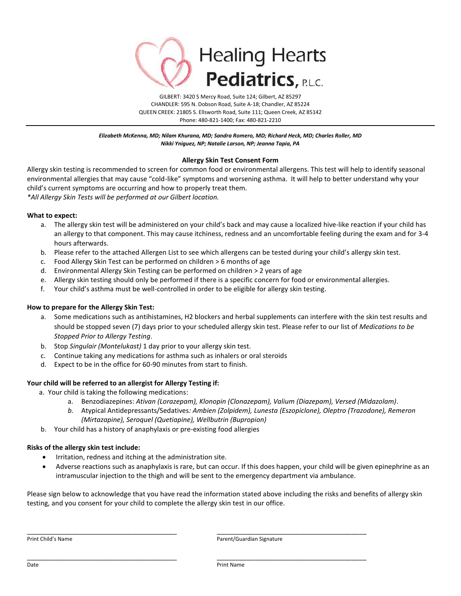

*Elizabeth McKenna, MD; Nilam Khurana, MD; Sandra Romero, MD; Richard Heck, MD; Charles Roller, MD Nikki Yniguez, NP; Natalie Larson, NP; Jeanna Tapia, PA*

## **Allergy Skin Test Consent Form**

Allergy skin testing is recommended to screen for common food or environmental allergens. This test will help to identify seasonal environmental allergies that may cause "cold-like" symptoms and worsening asthma. It will help to better understand why your child's current symptoms are occurring and how to properly treat them. *\*All Allergy Skin Tests will be performed at our Gilbert location.*

### **What to expect:**

- a. The allergy skin test will be administered on your child's back and may cause a localized hive-like reaction if your child has an allergy to that component. This may cause itchiness, redness and an uncomfortable feeling during the exam and for 3-4 hours afterwards.
- b. Please refer to the attached Allergen List to see which allergens can be tested during your child's allergy skin test.
- c. Food Allergy Skin Test can be performed on children > 6 months of age
- d. Environmental Allergy Skin Testing can be performed on children > 2 years of age
- e. Allergy skin testing should only be performed if there is a specific concern for food or environmental allergies.
- f. Your child's asthma must be well-controlled in order to be eligible for allergy skin testing.

### **How to prepare for the Allergy Skin Test:**

- a. Some medications such as antihistamines, H2 blockers and herbal supplements can interfere with the skin test results and should be stopped seven (7) days prior to your scheduled allergy skin test. Please refer to our list of *Medications to be Stopped Prior to Allergy Testing*.
- b. Stop *Singulair (Montelukast)* 1 day prior to your allergy skin test.
- c. Continue taking any medications for asthma such as inhalers or oral steroids
- d. Expect to be in the office for 60-90 minutes from start to finish.

### **Your child will be referred to an allergist for Allergy Testing if:**

- a.Your child is taking the following medications:
	- a. Benzodiazepines: *Ativan (Lorazepam), Klonopin (Clonazepam), Valium (Diazepam), Versed (Midazolam)*.
	- *b.* Atypical Antidepressants/Sedatives*: Ambien (Zolpidem), Lunesta (Eszopiclone), Oleptro (Trazodone), Remeron (Mirtazapine), Seroquel (Quetiapine), Wellbutrin (Bupropion)*
- b. Your child has a history of anaphylaxis or pre-existing food allergies

### **Risks of the allergy skin test include:**

- Irritation, redness and itching at the administration site.
- Adverse reactions such as anaphylaxis is rare, but can occur. If this does happen, your child will be given epinephrine as an intramuscular injection to the thigh and will be sent to the emergency department via ambulance.

Please sign below to acknowledge that you have read the information stated above including the risks and benefits of allergy skin testing, and you consent for your child to complete the allergy skin test in our office.

\_\_\_\_\_\_\_\_\_\_\_\_\_\_\_\_\_\_\_\_\_\_\_\_\_\_\_\_\_\_\_\_\_\_\_\_\_\_\_\_ \_\_\_\_\_\_\_\_\_\_\_\_\_\_\_\_\_\_\_\_\_\_\_\_\_\_\_\_\_\_\_\_\_\_\_\_\_\_\_\_

\_\_\_\_\_\_\_\_\_\_\_\_\_\_\_\_\_\_\_\_\_\_\_\_\_\_\_\_\_\_\_\_\_\_\_\_\_\_\_\_ \_\_\_\_\_\_\_\_\_\_\_\_\_\_\_\_\_\_\_\_\_\_\_\_\_\_\_\_\_\_\_\_\_\_\_\_\_\_\_\_

Print Child's Name **Parent/Guardian Signature** Parent/Guardian Signature

Date Print Name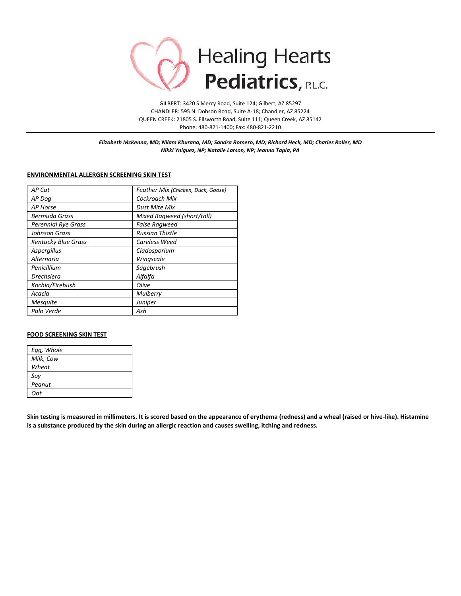

*Elizabeth McKenna, MD; Nilam Khurana, MD; Sandra Romero, MD; Richard Heck, MD; Charles Roller, MD Nikki Yniguez, NP; Natalie Larson, NP; Jeanna Tapia, PA*

#### **ENVIRONMENTAL ALLERGEN SCREENING SKIN TEST**

| AP Cat                     | Feather Mix (Chicken, Duck, Goose) |  |
|----------------------------|------------------------------------|--|
| AP Dog                     | Cockroach Mix                      |  |
| AP Horse                   | Dust Mite Mix                      |  |
| Bermuda Grass              | Mixed Ragweed (short/tall)         |  |
| <b>Perennial Rye Grass</b> | <b>False Ragweed</b>               |  |
| Johnson Grass              | <b>Russian Thistle</b>             |  |
| <b>Kentucky Blue Grass</b> | Careless Weed                      |  |
| Aspergillus                | Cladosporium                       |  |
| Alternaria                 | Wingscale                          |  |
| Penicillium                | Sagebrush                          |  |
| <b>Drechslera</b>          | Alfalfa                            |  |
| Kochia/Firebush            | Olive                              |  |
| Acacia                     | <b>Mulberry</b>                    |  |
| <b>Mesquite</b>            | Juniper                            |  |
| Palo Verde                 | Ash                                |  |

## **FOOD SCREENING SKIN TEST**

| Egg, Whole |
|------------|
| Milk, Cow  |
| Wheat      |
| Soy        |
| Peanut     |
| Oat        |

**Skin testing is measured in millimeters. It is scored based on the appearance of erythema (redness) and a wheal (raised or hive-like). Histamine is a substance produced by the skin during an allergic reaction and causes swelling, itching and redness.**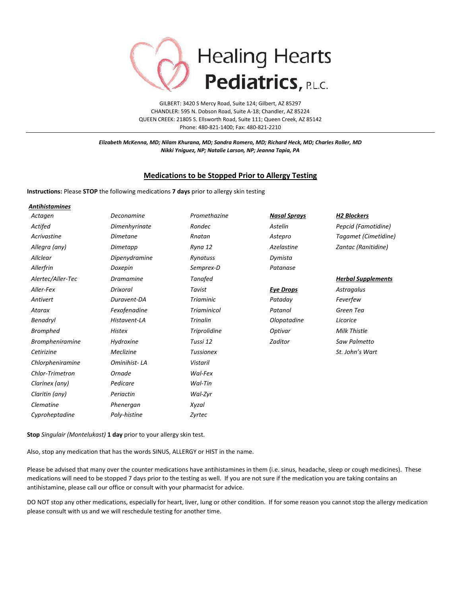

*Elizabeth McKenna, MD; Nilam Khurana, MD; Sandra Romero, MD; Richard Heck, MD; Charles Roller, MD Nikki Yniguez, NP; Natalie Larson, NP; Jeanna Tapia, PA*

## **Medications to be Stopped Prior to Allergy Testing**

**Instructions:** Please **STOP** the following medications **7 days** prior to allergy skin testing

| <b>Antihistamines</b>  |                  |                     |                     |                           |
|------------------------|------------------|---------------------|---------------------|---------------------------|
| Actagen                | Deconamine       | Promethazine        | <b>Nasal Sprays</b> | <b>H2 Blockers</b>        |
| Actifed                | Dimenhyrinate    | Rondec              | Astelin             | Pepcid (Famotidine)       |
| Acrivastine            | <b>Dimetane</b>  | Rnatan              | Astepro             | Tagamet (Cimetidine)      |
| Allegra (any)          | Dimetapp         | Ryna 12             | Azelastine          | Zantac (Ranitidine)       |
| Allclear               | Dipenydramine    | Rynatuss            | Dymista             |                           |
| Allerfrin              | Doxepin          | Semprex-D           | Patanase            |                           |
| Alertec/Aller-Tec      | <b>Dramamine</b> | <b>Tanafed</b>      |                     | <b>Herbal Supplements</b> |
| Aller-Fex              | Drixoral         | Tavist              | <b>Eye Drops</b>    | Astragalus                |
| Antivert               | Duravent-DA      | <b>Triaminic</b>    | Pataday             | Feverfew                  |
| Atarax                 | Fexofenadine     | <b>Triaminicol</b>  | Patanol             | Green Tea                 |
| Benadryl               | Histavent-LA     | <b>Trinalin</b>     | Olopatadine         | Licorice                  |
| <b>Bromphed</b>        | <b>Histex</b>    | <b>Triprolidine</b> | Optivar             | Milk Thistle              |
| <b>Brompheniramine</b> | Hydroxine        | Tussi 12            | Zaditor             | Saw Palmetto              |
| Cetirizine             | Meclizine        | <b>Tussionex</b>    |                     | St. John's Wart           |
| Chlorpheniramine       | Ominihist-LA     | <b>Vistaril</b>     |                     |                           |
| Chlor-Trimetron        | Ornade           | Wal-Fex             |                     |                           |
| Clarinex (any)         | Pedicare         | Wal-Tin             |                     |                           |
| Claritin (any)         | Periactin        | Wal-Zyr             |                     |                           |
| Clematine              | Phenergan        | Xyzal               |                     |                           |
| Cyproheptadine         | Poly-histine     | Zyrtec              |                     |                           |

**Stop** *Singulair (Montelukast)* **1 day** prior to your allergy skin test.

Also, stop any medication that has the words SINUS, ALLERGY or HIST in the name.

Please be advised that many over the counter medications have antihistamines in them (i.e. sinus, headache, sleep or cough medicines). These medications will need to be stopped 7 days prior to the testing as well. If you are not sure if the medication you are taking contains an antihistamine, please call our office or consult with your pharmacist for advice.

DO NOT stop any other medications, especially for heart, liver, lung or other condition. If for some reason you cannot stop the allergy medication please consult with us and we will reschedule testing for another time.